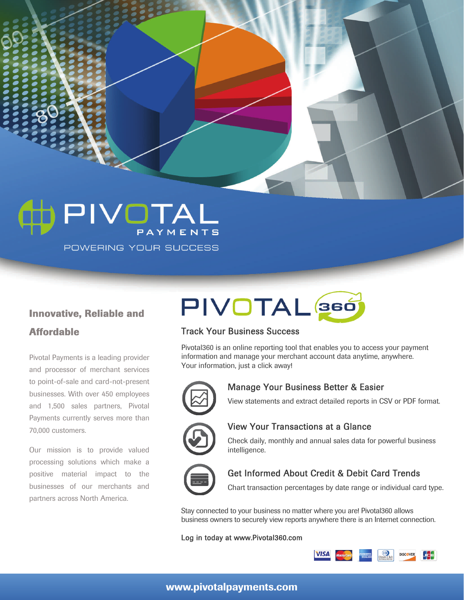PIVOTAL POWERING YOUR SUCCESS

### **Innovative, Reliable and Affordable**

Pivotal Payments is a leading provider and processor of merchant services to point-of-sale and card-not-present businesses. With over 450 employees and 1,500 sales partners, Pivotal Payments currently serves more than 70,000 customers.

Our mission is to provide valued processing solutions which make a positive material impact to the businesses of our merchants and partners across North America.

# PIVOTAL 366

#### Track Your Business Success

Pivotal360 is an online reporting tool that enables you to access your payment information and manage your merchant account data anytime, anywhere. Your information, just a click away!



#### Manage Your Business Better & Easier

View statements and extract detailed reports in CSV or PDF format.



#### View Your Transactions at a Glance

Check daily, monthly and annual sales data for powerful business intelligence.



#### Get Informed About Credit & Debit Card Trends

Chart transaction percentages by date range or individual card type.

Stay connected to your business no matter where you are! Pivotal360 allows business owners to securely view reports anywhere there is an Internet connection.

#### Log in today at www.Pivotal360.com